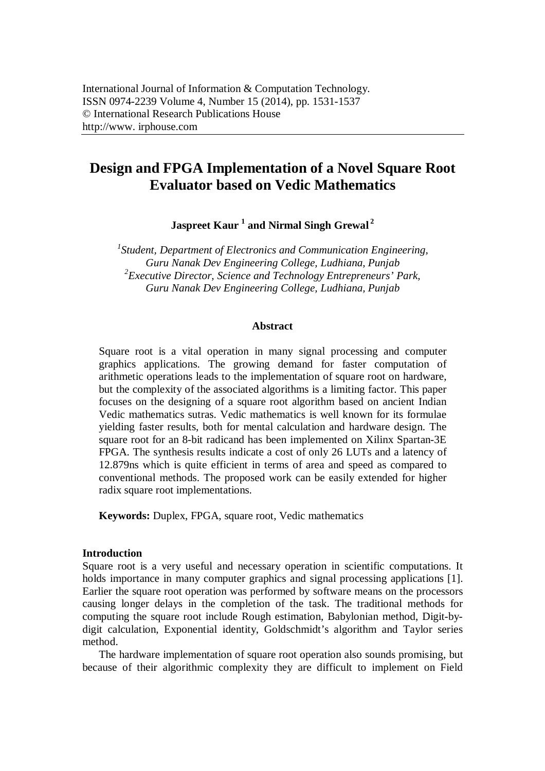# **Design and FPGA Implementation of a Novel Square Root Evaluator based on Vedic Mathematics**

**Jaspreet Kaur <sup>1</sup> and Nirmal Singh Grewal <sup>2</sup>**

*1 Student, Department of Electronics and Communication Engineering, Guru Nanak Dev Engineering College, Ludhiana, Punjab 2 Executive Director, Science and Technology Entrepreneurs' Park, Guru Nanak Dev Engineering College, Ludhiana, Punjab*

## **Abstract**

Square root is a vital operation in many signal processing and computer graphics applications. The growing demand for faster computation of arithmetic operations leads to the implementation of square root on hardware, but the complexity of the associated algorithms is a limiting factor. This paper focuses on the designing of a square root algorithm based on ancient Indian Vedic mathematics sutras. Vedic mathematics is well known for its formulae yielding faster results, both for mental calculation and hardware design. The square root for an 8-bit radicand has been implemented on Xilinx Spartan-3E FPGA. The synthesis results indicate a cost of only 26 LUTs and a latency of 12.879ns which is quite efficient in terms of area and speed as compared to conventional methods. The proposed work can be easily extended for higher radix square root implementations.

**Keywords:** Duplex, FPGA, square root, Vedic mathematics

## **Introduction**

Square root is a very useful and necessary operation in scientific computations. It holds importance in many computer graphics and signal processing applications [1]. Earlier the square root operation was performed by software means on the processors causing longer delays in the completion of the task. The traditional methods for computing the square root include Rough estimation, Babylonian method, Digit-bydigit calculation, Exponential identity, Goldschmidt's algorithm and Taylor series method.

The hardware implementation of square root operation also sounds promising, but because of their algorithmic complexity they are difficult to implement on Field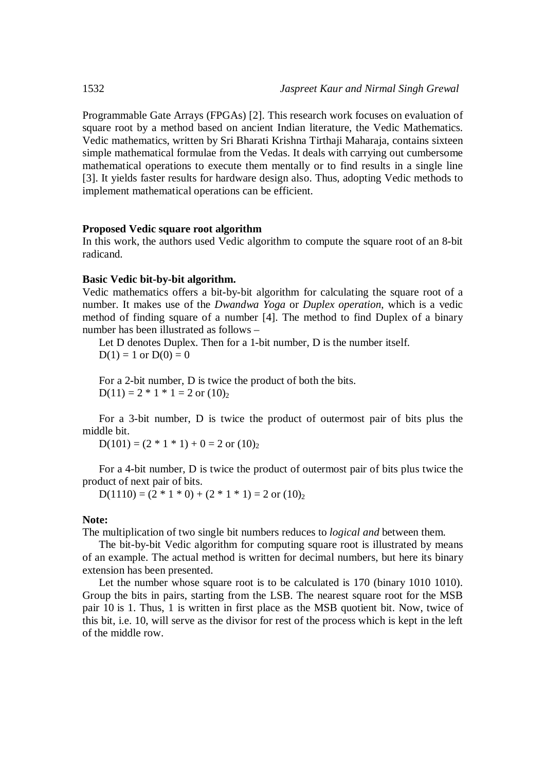Programmable Gate Arrays (FPGAs) [2]. This research work focuses on evaluation of square root by a method based on ancient Indian literature, the Vedic Mathematics. Vedic mathematics, written by Sri Bharati Krishna Tirthaji Maharaja, contains sixteen simple mathematical formulae from the Vedas. It deals with carrying out cumbersome mathematical operations to execute them mentally or to find results in a single line [3]. It yields faster results for hardware design also. Thus, adopting Vedic methods to implement mathematical operations can be efficient.

## **Proposed Vedic square root algorithm**

In this work, the authors used Vedic algorithm to compute the square root of an 8-bit radicand.

#### **Basic Vedic bit-by-bit algorithm.**

Vedic mathematics offers a bit-by-bit algorithm for calculating the square root of a number. It makes use of the *Dwandwa Yoga* or *Duplex operation*, which is a vedic method of finding square of a number [4]. The method to find Duplex of a binary number has been illustrated as follows –

Let D denotes Duplex. Then for a 1-bit number, D is the number itself.  $D(1) = 1$  or  $D(0) = 0$ 

For a 2-bit number, D is twice the product of both the bits.  $D(11) = 2 * 1 * 1 = 2$  or  $(10)<sub>2</sub>$ 

For a 3-bit number, D is twice the product of outermost pair of bits plus the middle bit.

 $D(101) = (2 * 1 * 1) + 0 = 2$  or  $(10)<sub>2</sub>$ 

For a 4-bit number, D is twice the product of outermost pair of bits plus twice the product of next pair of bits.

 $D(1110) = (2 * 1 * 0) + (2 * 1 * 1) = 2$  or  $(10)<sub>2</sub>$ 

#### **Note:**

The multiplication of two single bit numbers reduces to *logical and* between them.

The bit-by-bit Vedic algorithm for computing square root is illustrated by means of an example. The actual method is written for decimal numbers, but here its binary extension has been presented.

Let the number whose square root is to be calculated is 170 (binary 1010 1010). Group the bits in pairs, starting from the LSB. The nearest square root for the MSB pair 10 is 1. Thus, 1 is written in first place as the MSB quotient bit. Now, twice of this bit, i.e. 10, will serve as the divisor for rest of the process which is kept in the left of the middle row.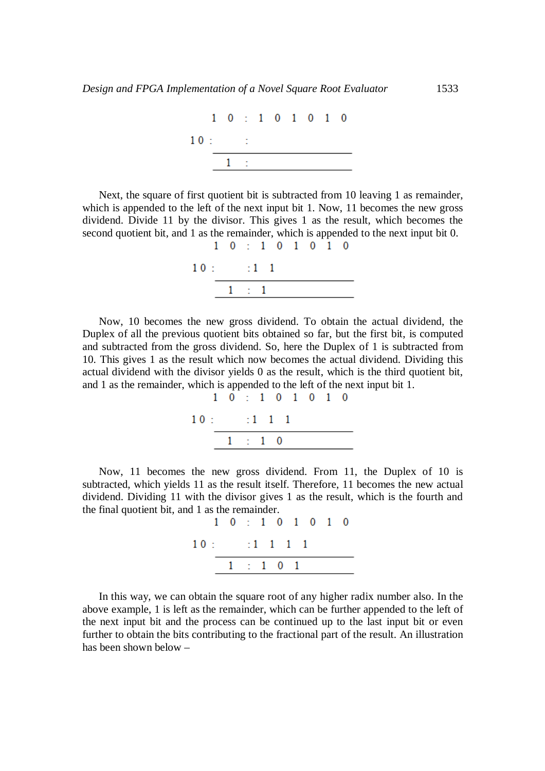

Next, the square of first quotient bit is subtracted from 10 leaving 1 as remainder, which is appended to the left of the next input bit 1. Now, 11 becomes the new gross dividend. Divide 11 by the divisor. This gives 1 as the result, which becomes the second quotient bit, and 1 as the remainder, which is appended to the next input bit 0.  $1 \t0 : 1 \t0 1 0 1 0$ 

| $10:$ : 1 1 |             |  |
|-------------|-------------|--|
|             | $1 \cdot 1$ |  |

Now, 10 becomes the new gross dividend. To obtain the actual dividend, the Duplex of all the previous quotient bits obtained so far, but the first bit, is computed and subtracted from the gross dividend. So, here the Duplex of 1 is subtracted from 10. This gives 1 as the result which now becomes the actual dividend. Dividing this actual dividend with the divisor yields 0 as the result, which is the third quotient bit, and 1 as the remainder, which is appended to the left of the next input bit 1.

$$
1 \t 0 : 1 \t 0 \t 1 \t 0 \t 1 \t 0
$$
  

$$
10 : 1 \t 1 \t 1
$$
  

$$
1 : 1 \t 0
$$

Now, 11 becomes the new gross dividend. From 11, the Duplex of 10 is subtracted, which yields 11 as the result itself. Therefore, 11 becomes the new actual dividend. Dividing 11 with the divisor gives 1 as the result, which is the fourth and the final quotient bit, and 1 as the remainder.



In this way, we can obtain the square root of any higher radix number also. In the above example, 1 is left as the remainder, which can be further appended to the left of the next input bit and the process can be continued up to the last input bit or even further to obtain the bits contributing to the fractional part of the result. An illustration has been shown below –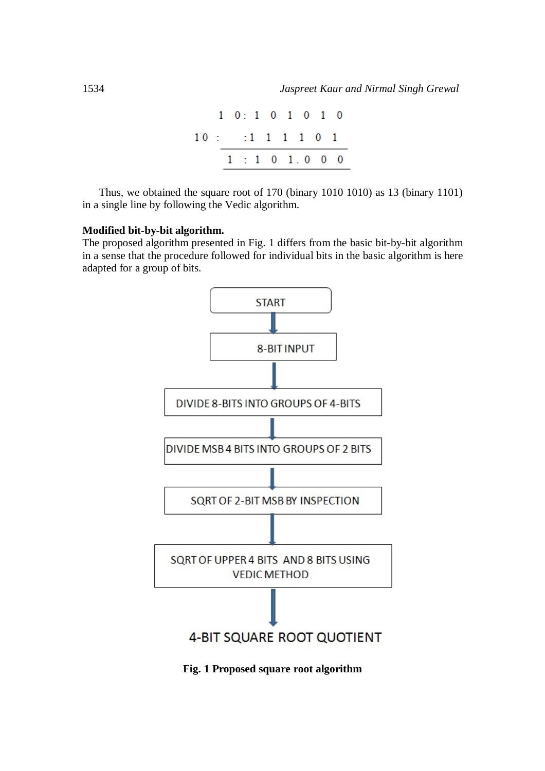$$
1 \quad 0: \quad 1 \quad 0 \quad 1 \quad 0 \quad 1 \quad 0
$$
\n
$$
10 \quad : \qquad 1 \quad 1 \quad 1 \quad 1 \quad 0 \quad 1
$$
\n
$$
1 \quad : \quad 1 \quad 0 \quad 1 \quad 0 \quad 0 \quad 0
$$

Thus, we obtained the square root of 170 (binary 1010 1010) as 13 (binary 1101) in a single line by following the Vedic algorithm.

# **Modified bit-by-bit algorithm.**

The proposed algorithm presented in Fig. 1 differs from the basic bit-by-bit algorithm in a sense that the procedure followed for individual bits in the basic algorithm is here adapted for a group of bits.



**Fig. 1 Proposed square root algorithm**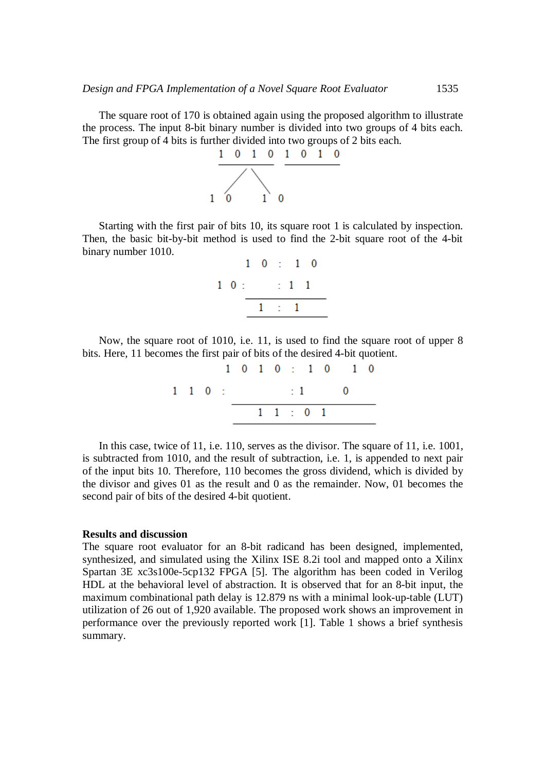The square root of 170 is obtained again using the proposed algorithm to illustrate the process. The input 8-bit binary number is divided into two groups of 4 bits each. The first group of 4 bits is further divided into two groups of 2 bits each.



Starting with the first pair of bits 10, its square root 1 is calculated by inspection. Then, the basic bit-by-bit method is used to find the 2-bit square root of the 4-bit binary number 1010.

|  | $1 \t0 \t1 \t0$ |            |  |
|--|-----------------|------------|--|
|  | $1 \t0: 1 \t1$  |            |  |
|  |                 | $1 \div 1$ |  |

Now, the square root of 1010, i.e. 11, is used to find the square root of upper 8 bits. Here, 11 becomes the first pair of bits of the desired 4-bit quotient.

|  |               |  |  |                  |                 | $1\ 0\ 1\ 0\ \vdots\ 1\ 0\ 1\ 0$ |  |
|--|---------------|--|--|------------------|-----------------|----------------------------------|--|
|  | $1 \t1 \t0$ : |  |  | $\therefore$ 1 0 |                 |                                  |  |
|  |               |  |  |                  | $1 \t1 \t0 \t1$ |                                  |  |

In this case, twice of 11, i.e. 110, serves as the divisor. The square of 11, i.e. 1001, is subtracted from 1010, and the result of subtraction, i.e. 1, is appended to next pair of the input bits 10. Therefore, 110 becomes the gross dividend, which is divided by the divisor and gives 01 as the result and 0 as the remainder. Now, 01 becomes the second pair of bits of the desired 4-bit quotient.

#### **Results and discussion**

The square root evaluator for an 8-bit radicand has been designed, implemented, synthesized, and simulated using the Xilinx ISE 8.2i tool and mapped onto a Xilinx Spartan 3E xc3s100e-5cp132 FPGA [5]. The algorithm has been coded in Verilog HDL at the behavioral level of abstraction. It is observed that for an 8-bit input, the maximum combinational path delay is 12.879 ns with a minimal look-up-table (LUT) utilization of 26 out of 1,920 available. The proposed work shows an improvement in performance over the previously reported work [1]. Table 1 shows a brief synthesis summary.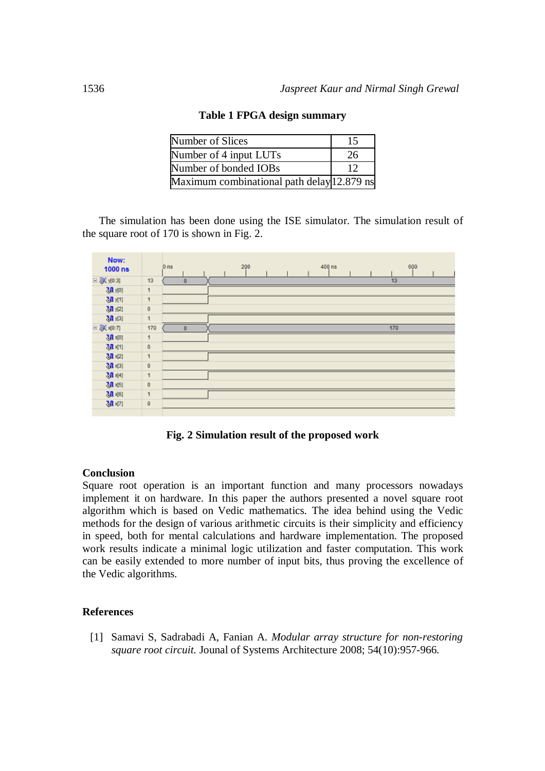| Number of Slices                           | 15 |
|--------------------------------------------|----|
| Number of 4 input LUTs                     | 26 |
| Number of bonded IOBs                      |    |
| Maximum combinational path delay 12.879 ns |    |

# **Table 1 FPGA design summary**

The simulation has been done using the ISE simulator. The simulation result of the square root of 170 is shown in Fig. 2.



**Fig. 2 Simulation result of the proposed work**

## **Conclusion**

Square root operation is an important function and many processors nowadays implement it on hardware. In this paper the authors presented a novel square root algorithm which is based on Vedic mathematics. The idea behind using the Vedic methods for the design of various arithmetic circuits is their simplicity and efficiency in speed, both for mental calculations and hardware implementation. The proposed work results indicate a minimal logic utilization and faster computation. This work can be easily extended to more number of input bits, thus proving the excellence of the Vedic algorithms.

# **References**

[1] Samavi S, Sadrabadi A, Fanian A. *Modular array structure for non-restoring square root circuit.* Jounal of Systems Architecture 2008; 54(10):957-966.